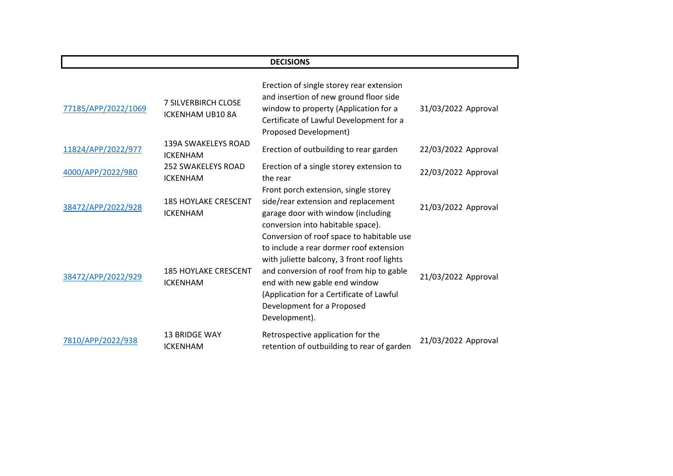| <b>DECISIONS</b>    |                                                       |                                                                                                                                                                                                                                                                                                            |                     |
|---------------------|-------------------------------------------------------|------------------------------------------------------------------------------------------------------------------------------------------------------------------------------------------------------------------------------------------------------------------------------------------------------------|---------------------|
| 77185/APP/2022/1069 | <b>7 SILVERBIRCH CLOSE</b><br><b>ICKENHAM UB10 8A</b> | Erection of single storey rear extension<br>and insertion of new ground floor side<br>window to property (Application for a<br>Certificate of Lawful Development for a<br>Proposed Development)                                                                                                            | 31/03/2022 Approval |
| 11824/APP/2022/977  | <b>139A SWAKELEYS ROAD</b><br><b>ICKENHAM</b>         | Erection of outbuilding to rear garden                                                                                                                                                                                                                                                                     | 22/03/2022 Approval |
| 4000/APP/2022/980   | <b>252 SWAKELEYS ROAD</b><br><b>ICKENHAM</b>          | Erection of a single storey extension to<br>the rear                                                                                                                                                                                                                                                       | 22/03/2022 Approval |
| 38472/APP/2022/928  | <b>185 HOYLAKE CRESCENT</b><br><b>ICKENHAM</b>        | Front porch extension, single storey<br>side/rear extension and replacement<br>garage door with window (including<br>conversion into habitable space).                                                                                                                                                     | 21/03/2022 Approval |
| 38472/APP/2022/929  | <b>185 HOYLAKE CRESCENT</b><br><b>ICKENHAM</b>        | Conversion of roof space to habitable use<br>to include a rear dormer roof extension<br>with juliette balcony, 3 front roof lights<br>and conversion of roof from hip to gable<br>end with new gable end window<br>(Application for a Certificate of Lawful<br>Development for a Proposed<br>Development). | 21/03/2022 Approval |
| 7810/APP/2022/938   | <b>13 BRIDGE WAY</b><br><b>ICKENHAM</b>               | Retrospective application for the<br>retention of outbuilding to rear of garden                                                                                                                                                                                                                            | 21/03/2022 Approval |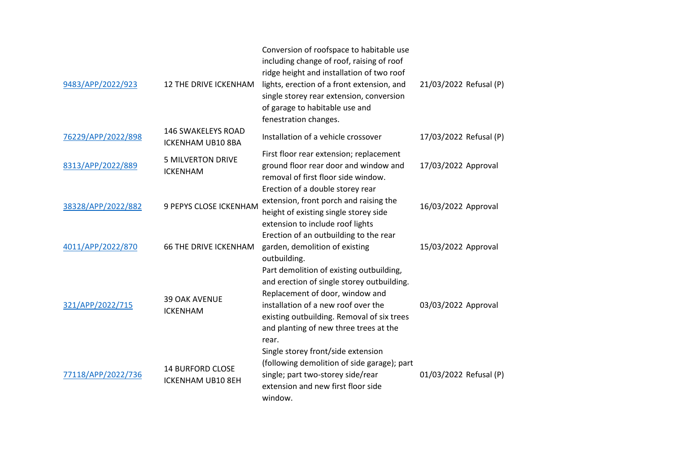| 9483/APP/2022/923  | <b>12 THE DRIVE ICKENHAM</b>                          | Conversion of roofspace to habitable use<br>including change of roof, raising of roof<br>ridge height and installation of two roof<br>lights, erection of a front extension, and<br>single storey rear extension, conversion<br>of garage to habitable use and<br>fenestration changes. | 21/03/2022 Refusal (P) |
|--------------------|-------------------------------------------------------|-----------------------------------------------------------------------------------------------------------------------------------------------------------------------------------------------------------------------------------------------------------------------------------------|------------------------|
| 76229/APP/2022/898 | <b>146 SWAKELEYS ROAD</b><br><b>ICKENHAM UB10 8BA</b> | Installation of a vehicle crossover                                                                                                                                                                                                                                                     | 17/03/2022 Refusal (P) |
| 8313/APP/2022/889  | <b>5 MILVERTON DRIVE</b><br><b>ICKENHAM</b>           | First floor rear extension; replacement<br>ground floor rear door and window and<br>removal of first floor side window.<br>Erection of a double storey rear                                                                                                                             | 17/03/2022 Approval    |
| 38328/APP/2022/882 | 9 PEPYS CLOSE ICKENHAM                                | extension, front porch and raising the<br>height of existing single storey side<br>extension to include roof lights                                                                                                                                                                     | 16/03/2022 Approval    |
| 4011/APP/2022/870  | <b>66 THE DRIVE ICKENHAM</b>                          | Erection of an outbuilding to the rear<br>garden, demolition of existing<br>outbuilding.<br>Part demolition of existing outbuilding,                                                                                                                                                    | 15/03/2022 Approval    |
| 321/APP/2022/715   | <b>39 OAK AVENUE</b><br><b>ICKENHAM</b>               | and erection of single storey outbuilding.<br>Replacement of door, window and<br>installation of a new roof over the<br>existing outbuilding. Removal of six trees<br>and planting of new three trees at the<br>rear.                                                                   | 03/03/2022 Approval    |
| 77118/APP/2022/736 | <b>14 BURFORD CLOSE</b><br><b>ICKENHAM UB10 8EH</b>   | Single storey front/side extension<br>(following demolition of side garage); part<br>single; part two-storey side/rear<br>extension and new first floor side<br>window.                                                                                                                 | 01/03/2022 Refusal (P) |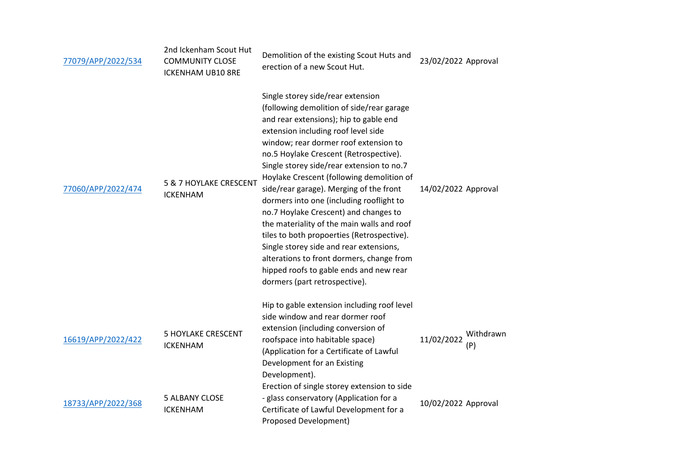| 77079/APP/2022/534 | 2nd Ickenham Scout Hut<br><b>COMMUNITY CLOSE</b><br><b>ICKENHAM UB10 8RE</b> | Demolition of the existing Scout Huts and<br>erection of a new Scout Hut.                                                                                                                                                                                                                                                                                                                                                                                                                                                                                                                                                                                                                                                                    | 23/02/2022 Approval            |
|--------------------|------------------------------------------------------------------------------|----------------------------------------------------------------------------------------------------------------------------------------------------------------------------------------------------------------------------------------------------------------------------------------------------------------------------------------------------------------------------------------------------------------------------------------------------------------------------------------------------------------------------------------------------------------------------------------------------------------------------------------------------------------------------------------------------------------------------------------------|--------------------------------|
| 77060/APP/2022/474 | 5 & 7 HOYLAKE CRESCENT<br><b>ICKENHAM</b>                                    | Single storey side/rear extension<br>(following demolition of side/rear garage<br>and rear extensions); hip to gable end<br>extension including roof level side<br>window; rear dormer roof extension to<br>no.5 Hoylake Crescent (Retrospective).<br>Single storey side/rear extension to no.7<br>Hoylake Crescent (following demolition of<br>side/rear garage). Merging of the front<br>dormers into one (including rooflight to<br>no.7 Hoylake Crescent) and changes to<br>the materiality of the main walls and roof<br>tiles to both propoerties (Retrospective).<br>Single storey side and rear extensions,<br>alterations to front dormers, change from<br>hipped roofs to gable ends and new rear<br>dormers (part retrospective). | 14/02/2022 Approval            |
| 16619/APP/2022/422 | <b>5 HOYLAKE CRESCENT</b><br><b>ICKENHAM</b>                                 | Hip to gable extension including roof level<br>side window and rear dormer roof<br>extension (including conversion of<br>roofspace into habitable space)<br>(Application for a Certificate of Lawful<br>Development for an Existing<br>Development).                                                                                                                                                                                                                                                                                                                                                                                                                                                                                         | Withdrawn<br>11/02/2022<br>(P) |
| 18733/APP/2022/368 | <b>5 ALBANY CLOSE</b><br><b>ICKENHAM</b>                                     | Erection of single storey extension to side<br>- glass conservatory (Application for a<br>Certificate of Lawful Development for a<br><b>Proposed Development)</b>                                                                                                                                                                                                                                                                                                                                                                                                                                                                                                                                                                            | 10/02/2022 Approval            |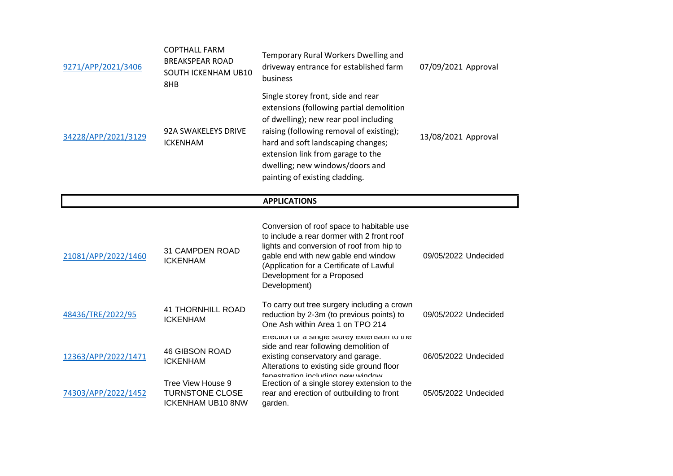| 9271/APP/2021/3406  | <b>COPTHALL FARM</b><br><b>BREAKSPEAR ROAD</b><br>SOUTH ICKENHAM UB10<br>8HB | Temporary Rural Workers Dwelling and<br>driveway entrance for established farm<br>business                                                                                                                                                                                                                          | 07/09/2021 Approval  |
|---------------------|------------------------------------------------------------------------------|---------------------------------------------------------------------------------------------------------------------------------------------------------------------------------------------------------------------------------------------------------------------------------------------------------------------|----------------------|
| 34228/APP/2021/3129 | <b>92A SWAKELEYS DRIVE</b><br><b>ICKENHAM</b>                                | Single storey front, side and rear<br>extensions (following partial demolition<br>of dwelling); new rear pool including<br>raising (following removal of existing);<br>hard and soft landscaping changes;<br>extension link from garage to the<br>dwelling; new windows/doors and<br>painting of existing cladding. | 13/08/2021 Approval  |
|                     |                                                                              | <b>APPLICATIONS</b>                                                                                                                                                                                                                                                                                                 |                      |
| 21081/APP/2022/1460 | 31 CAMPDEN ROAD<br><b>ICKENHAM</b>                                           | Conversion of roof space to habitable use<br>to include a rear dormer with 2 front roof<br>lights and conversion of roof from hip to<br>gable end with new gable end window<br>(Application for a Certificate of Lawful<br>Development for a Proposed<br>Development)                                               | 09/05/2022 Undecided |
| 48436/TRE/2022/95   | <b>41 THORNHILL ROAD</b><br><b>ICKENHAM</b>                                  | To carry out tree surgery including a crown<br>reduction by 2-3m (to previous points) to<br>One Ash within Area 1 on TPO 214                                                                                                                                                                                        | 09/05/2022 Undecided |
| 12363/APP/2022/1471 | <b>46 GIBSON ROAD</b><br><b>ICKENHAM</b>                                     | Erection or a single storey extension to the<br>side and rear following demolition of<br>existing conservatory and garage.<br>Alterations to existing side ground floor<br>fanaetration including naw window                                                                                                        | 06/05/2022 Undecided |
| 74303/APP/2022/1452 | Tree View House 9<br><b>TURNSTONE CLOSE</b><br><b>ICKENHAM UB10 8NW</b>      | Erection of a single storey extension to the<br>rear and erection of outbuilding to front<br>garden.                                                                                                                                                                                                                | 05/05/2022 Undecided |